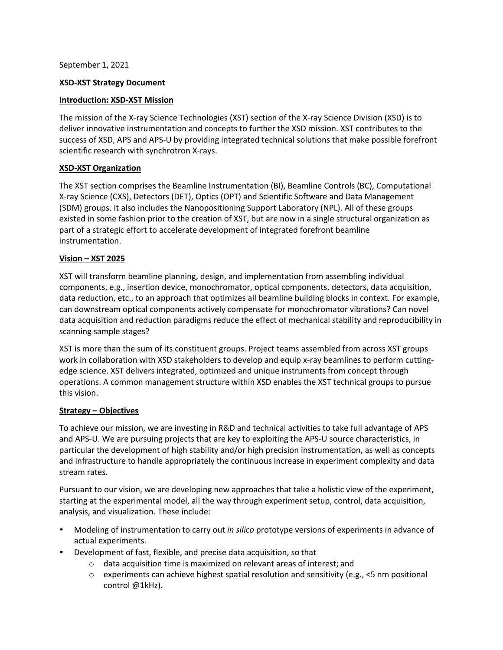September 1, 2021

# **XSD-XST Strategy Document**

## **Introduction: XSD-XST Mission**

The mission of the X-ray Science Technologies (XST) section of the X-ray Science Division (XSD) is to deliver innovative instrumentation and concepts to further the XSD mission. XST contributes to the success of XSD, APS and APS-U by providing integrated technical solutions that make possible forefront scientific research with synchrotron X-rays.

## **XSD-XST Organization**

The XST section comprises the Beamline Instrumentation (BI), Beamline Controls (BC), Computational X-ray Science (CXS), Detectors (DET), Optics (OPT) and Scientific Software and Data Management (SDM) groups. It also includes the Nanopositioning Support Laboratory (NPL). All of these groups existed in some fashion prior to the creation of XST, but are now in a single structural organization as part of a strategic effort to accelerate development of integrated forefront beamline instrumentation.

## **Vision – XST 2025**

XST will transform beamline planning, design, and implementation from assembling individual components, e.g., insertion device, monochromator, optical components, detectors, data acquisition, data reduction, etc., to an approach that optimizes all beamline building blocks in context. For example, can downstream optical components actively compensate for monochromator vibrations? Can novel data acquisition and reduction paradigms reduce the effect of mechanical stability and reproducibility in scanning sample stages?

XST is more than the sum of its constituent groups. Project teams assembled from across XST groups work in collaboration with XSD stakeholders to develop and equip x-ray beamlines to perform cuttingedge science. XST delivers integrated, optimized and unique instruments from concept through operations. A common management structure within XSD enables the XST technical groups to pursue this vision.

#### **Strategy – Objectives**

To achieve our mission, we are investing in R&D and technical activities to take full advantage of APS and APS-U. We are pursuing projects that are key to exploiting the APS-U source characteristics, in particular the development of high stability and/or high precision instrumentation, as well as concepts and infrastructure to handle appropriately the continuous increase in experiment complexity and data stream rates.

Pursuant to our vision, we are developing new approaches that take a holistic view of the experiment, starting at the experimental model, all the way through experiment setup, control, data acquisition, analysis, and visualization. These include:

- Modeling of instrumentation to carry out *in silico* prototype versions of experiments in advance of actual experiments.
- Development of fast, flexible, and precise data acquisition, so that
	- o data acquisition time is maximized on relevant areas of interest; and
	- $\circ$  experiments can achieve highest spatial resolution and sensitivity (e.g., <5 nm positional control @1kHz).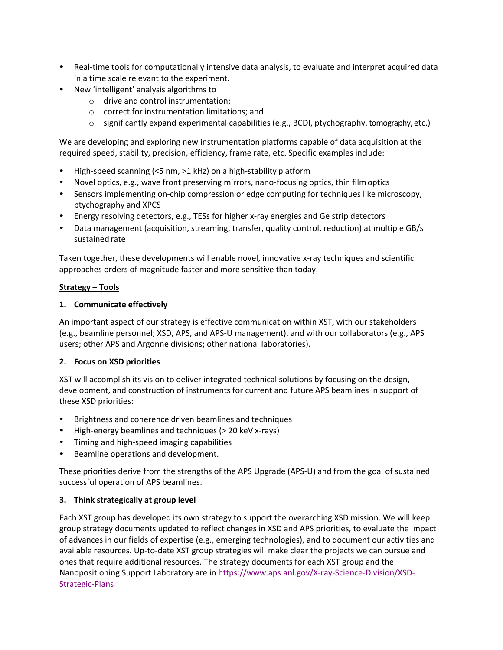- Real-time tools for computationally intensive data analysis, to evaluate and interpret acquired data in a time scale relevant to the experiment.
- New 'intelligent' analysis algorithms to
	- o drive and control instrumentation;
	- o correct for instrumentation limitations; and
	- $\circ$  significantly expand experimental capabilities (e.g., BCDI, ptychography, tomography, etc.)

We are developing and exploring new instrumentation platforms capable of data acquisition at the required speed, stability, precision, efficiency, frame rate, etc. Specific examples include:

- High-speed scanning (<5 nm, >1 kHz) on a high-stability platform
- Novel optics, e.g., wave front preserving mirrors, nano-focusing optics, thin filmoptics
- Sensors implementing on-chip compression or edge computing for techniques like microscopy, ptychography and XPCS
- Energy resolving detectors, e.g., TESs for higher x-ray energies and Ge strip detectors
- Data management (acquisition, streaming, transfer, quality control, reduction) at multiple GB/s sustained rate

Taken together, these developments will enable novel, innovative x-ray techniques and scientific approaches orders of magnitude faster and more sensitive than today.

#### **Strategy – Tools**

#### **1. Communicate effectively**

An important aspect of our strategy is effective communication within XST, with our stakeholders (e.g., beamline personnel; XSD, APS, and APS-U management), and with our collaborators (e.g., APS users; other APS and Argonne divisions; other national laboratories).

#### **2. Focus on XSD priorities**

XST will accomplish its vision to deliver integrated technical solutions by focusing on the design, development, and construction of instruments for current and future APS beamlines in support of these XSD priorities:

- Brightness and coherence driven beamlines and techniques
- High-energy beamlines and techniques (> 20 keV x-rays)
- Timing and high-speed imaging capabilities
- Beamline operations and development.

These priorities derive from the strengths of the APS Upgrade (APS-U) and from the goal of sustained successful operation of APS beamlines.

#### **3. Think strategically at group level**

Each XST group has developed its own strategy to support the overarching XSD mission. We will keep group strategy documents updated to reflect changes in XSD and APS priorities, to evaluate the impact of advances in our fields of expertise (e.g., emerging technologies), and to document our activities and available resources. Up-to-date XST group strategies will make clear the projects we can pursue and ones that require additional resources. The strategy documents for each XST group and the Nanopositioning Support Laboratory are in https://www.aps.anl.gov/X-ray-Science-Division/XSD-Strategic-Plans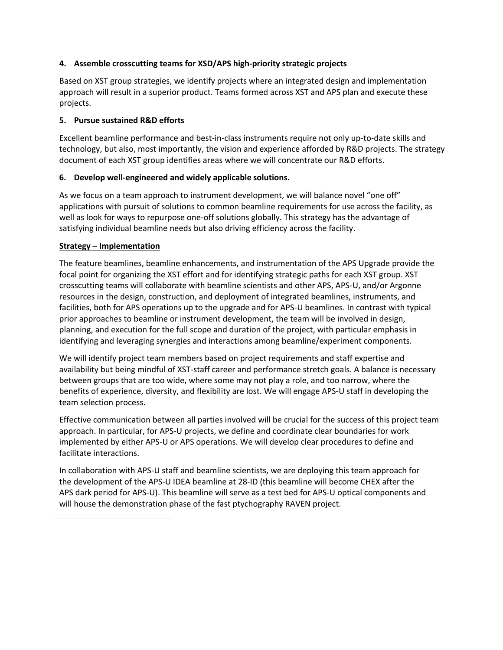# **4. Assemble crosscutting teams for XSD/APS high-priority strategic projects**

Based on XST group strategies, we identify projects where an integrated design and implementation approach will result in a superior product. Teams formed across XST and APS plan and execute these projects.

#### **5. Pursue sustained R&D efforts**

Excellent beamline performance and best-in-class instruments require not only up-to-date skills and technology, but also, most importantly, the vision and experience afforded by R&D projects. The strategy document of each XST group identifies areas where we will concentrate our R&D efforts.

## **6. Develop well-engineered and widely applicable solutions.**

As we focus on a team approach to instrument development, we will balance novel "one off" applications with pursuit of solutions to common beamline requirements for use across the facility, as well as look for ways to repurpose one-off solutions globally. This strategy has the advantage of satisfying individual beamline needs but also driving efficiency across the facility.

## **Strategy – Implementation**

The feature beamlines, beamline enhancements, and instrumentation of the APS Upgrade provide the focal point for organizing the XST effort and for identifying strategic paths for each XST group. XST crosscutting teams will collaborate with beamline scientists and other APS, APS-U, and/or Argonne resources in the design, construction, and deployment of integrated beamlines, instruments, and facilities, both for APS operations up to the upgrade and for APS-U beamlines. In contrast with typical prior approaches to beamline or instrument development, the team will be involved in design, planning, and execution for the full scope and duration of the project, with particular emphasis in identifying and leveraging synergies and interactions among beamline/experiment components.

We will identify project team members based on project requirements and staff expertise and availability but being mindful of XST-staff career and performance stretch goals. A balance is necessary between groups that are too wide, where some may not play a role, and too narrow, where the benefits of experience, diversity, and flexibility are lost. We will engage APS-U staff in developing the team selection process.

Effective communication between all parties involved will be crucial for the success of this project team approach. In particular, for APS-U projects, we define and coordinate clear boundaries for work implemented by either APS-U or APS operations. We will develop clear procedures to define and facilitate interactions.

In collaboration with APS-U staff and beamline scientists, we are deploying this team approach for the development of the APS-U IDEA beamline at 28-ID (this beamline will become CHEX after the APS dark period for APS-U). This beamline will serve as a test bed for APS-U optical components and will house the demonstration phase of the fast ptychography RAVEN project.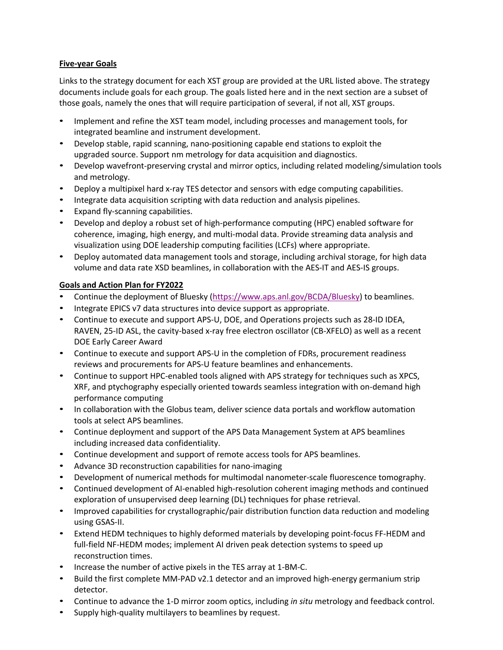# **Five-year Goals**

Links to the strategy document for each XST group are provided at the URL listed above. The strategy documents include goals for each group. The goals listed here and in the next section are a subset of those goals, namely the ones that will require participation of several, if not all, XST groups.

- Implement and refine the XST team model, including processes and management tools, for integrated beamline and instrument development.
- Develop stable, rapid scanning, nano-positioning capable end stations to exploit the upgraded source. Support nm metrology for data acquisition and diagnostics.
- Develop wavefront-preserving crystal and mirror optics, including related modeling/simulation tools and metrology.
- Deploy a multipixel hard x-ray TES detector and sensors with edge computing capabilities.
- Integrate data acquisition scripting with data reduction and analysis pipelines.
- Expand fly-scanning capabilities.
- Develop and deploy a robust set of high-performance computing (HPC) enabled software for coherence, imaging, high energy, and multi-modal data. Provide streaming data analysis and visualization using DOE leadership computing facilities (LCFs) where appropriate.
- Deploy automated data management tools and storage, including archival storage, for high data volume and data rate XSD beamlines, in collaboration with the AES-IT and AES-IS groups.

## **Goals and Action Plan for FY2022**

- Continue the deployment of Bluesky (https://www.aps.anl.gov/BCDA/Bluesky) to beamlines.
- Integrate EPICS v7 data structures into device support as appropriate.
- Continue to execute and support APS-U, DOE, and Operations projects such as 28-ID IDEA, RAVEN, 25-ID ASL, the cavity-based x-ray free electron oscillator (CB-XFELO) as well as a recent DOE Early Career Award
- Continue to execute and support APS-U in the completion of FDRs, procurement readiness reviews and procurements for APS-U feature beamlines and enhancements.
- Continue to support HPC-enabled tools aligned with APS strategy for techniques such as XPCS, XRF, and ptychography especially oriented towards seamless integration with on-demand high performance computing
- In collaboration with the Globus team, deliver science data portals and workflow automation tools at select APS beamlines.
- Continue deployment and support of the APS Data Management System at APS beamlines including increased data confidentiality.
- Continue development and support of remote access tools for APS beamlines.
- Advance 3D reconstruction capabilities for nano-imaging
- Development of numerical methods for multimodal nanometer-scale fluorescence tomography.
- Continued development of AI-enabled high-resolution coherent imaging methods and continued exploration of unsupervised deep learning (DL) techniques for phase retrieval.
- Improved capabilities for crystallographic/pair distribution function data reduction and modeling using GSAS-II.
- Extend HEDM techniques to highly deformed materials by developing point-focus FF-HEDM and full-field NF-HEDM modes; implement AI driven peak detection systems to speed up reconstruction times.
- Increase the number of active pixels in the TES array at 1-BM-C.
- Build the first complete MM-PAD v2.1 detector and an improved high-energy germanium strip detector.
- Continue to advance the 1-D mirror zoom optics, including *in situ* metrology and feedback control.
- Supply high-quality multilayers to beamlines by request.